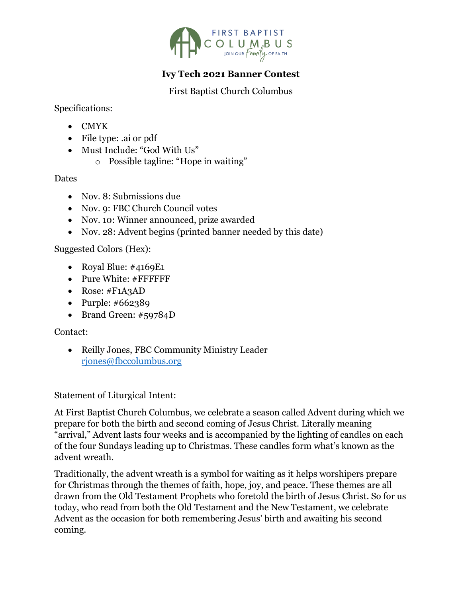

## **Ivy Tech 2021 Banner Contest**

First Baptist Church Columbus

Specifications:

- CMYK
- File type: .ai or pdf
- Must Include: "God With Us"
	- o Possible tagline: "Hope in waiting"

**Dates** 

- Nov. 8: Submissions due
- Nov. 9: FBC Church Council votes
- Nov. 10: Winner announced, prize awarded
- Nov. 28: Advent begins (printed banner needed by this date)

Suggested Colors (Hex):

- Royal Blue: #4169E1
- Pure White: #FFFFFFF
- Rose: #F1A3AD
- Purple: #662389
- Brand Green: #59784D

Contact:

• Reilly Jones, FBC Community Ministry Leader [rjones@fbccolumbus.org](mailto:rjones@fbccolumbus.org)

Statement of Liturgical Intent:

At First Baptist Church Columbus, we celebrate a season called Advent during which we prepare for both the birth and second coming of Jesus Christ. Literally meaning "arrival," Advent lasts four weeks and is accompanied by the lighting of candles on each of the four Sundays leading up to Christmas. These candles form what's known as the advent wreath.

Traditionally, the advent wreath is a symbol for waiting as it helps worshipers prepare for Christmas through the themes of faith, hope, joy, and peace. These themes are all drawn from the Old Testament Prophets who foretold the birth of Jesus Christ. So for us today, who read from both the Old Testament and the New Testament, we celebrate Advent as the occasion for both remembering Jesus' birth and awaiting his second coming.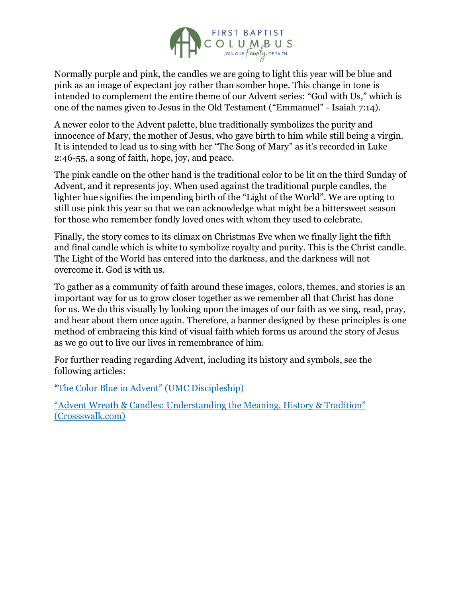

Normally purple and pink, the candles we are going to light this year will be blue and pink as an image of expectant joy rather than somber hope. This change in tone is intended to complement the entire theme of our Advent series: "God with Us," which is one of the names given to Jesus in the Old Testament ("Emmanuel" - Isaiah 7:14).

A newer color to the Advent palette, blue traditionally symbolizes the purity and innocence of Mary, the mother of Jesus, who gave birth to him while still being a virgin. It is intended to lead us to sing with her "The Song of Mary" as it's recorded in Luke 2:46-55, a song of faith, hope, joy, and peace.

The pink candle on the other hand is the traditional color to be lit on the third Sunday of Advent, and it represents joy. When used against the traditional purple candles, the lighter hue signifies the impending birth of the "Light of the World". We are opting to still use pink this year so that we can acknowledge what might be a bittersweet season for those who remember fondly loved ones with whom they used to celebrate.

Finally, the story comes to its climax on Christmas Eve when we finally light the fifth and final candle which is white to symbolize royalty and purity. This is the Christ candle. The Light of the World has entered into the darkness, and the darkness will not overcome it. God is with us.

To gather as a community of faith around these images, colors, themes, and stories is an important way for us to grow closer together as we remember all that Christ has done for us. We do this visually by looking upon the images of our faith as we sing, read, pray, and hear about them once again. Therefore, a banner designed by these principles is one method of embracing this kind of visual faith which forms us around the story of Jesus as we go out to live our lives in remembrance of him.

For further reading regarding Advent, including its history and symbols, see the following articles:

"[The Color Blue in Advent](https://www.umcdiscipleship.org/resources/the-color-blue-in-advent)" (UMC Discipleship)

["Advent Wreath & Candles: Understanding the Meaning, History & Tradition"](https://www.crosswalk.com/special-coverage/christmas-and-advent/advent-wreath-candles-understanding-the-meaning-history-tradition.html) [\(Crossswalk.com\)](https://www.crosswalk.com/special-coverage/christmas-and-advent/advent-wreath-candles-understanding-the-meaning-history-tradition.html)